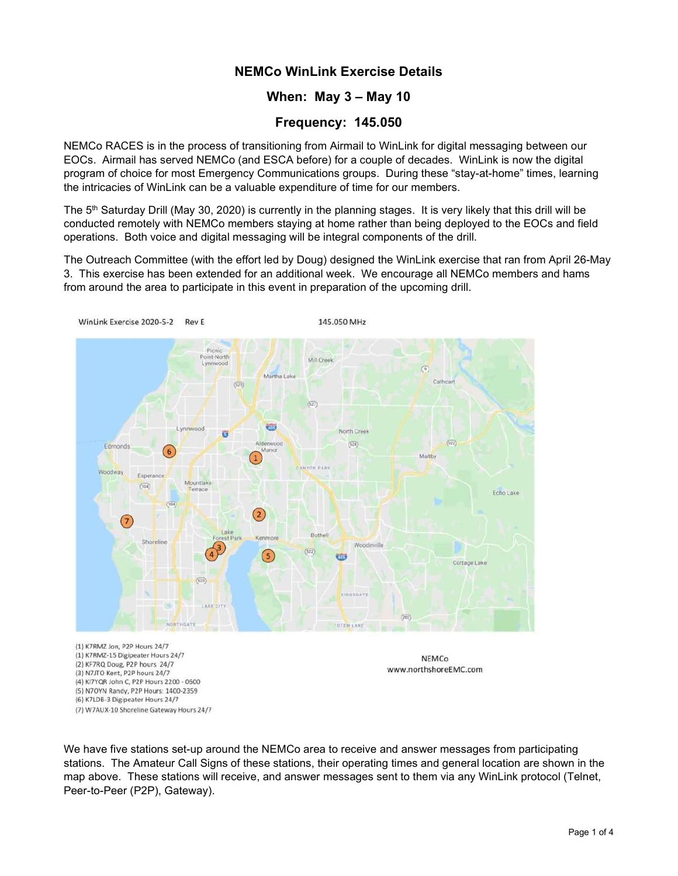# NEMCo WinLink Exercise Details

# When: May 3 – May 10

## Frequency: 145.050

NEMCo RACES is in the process of transitioning from Airmail to WinLink for digital messaging between our EOCs. Airmail has served NEMCo (and ESCA before) for a couple of decades. WinLink is now the digital program of choice for most Emergency Communications groups. During these "stay-at-home" times, learning the intricacies of WinLink can be a valuable expenditure of time for our members.

The  $5<sup>th</sup>$  Saturday Drill (May 30, 2020) is currently in the planning stages. It is very likely that this drill will be conducted remotely with NEMCo members staying at home rather than being deployed to the EOCs and field operations. Both voice and digital messaging will be integral components of the drill.

The Outreach Committee (with the effort led by Doug) designed the WinLink exercise that ran from April 26-May 3. This exercise has been extended for an additional week. We encourage all NEMCo members and hams from around the area to participate in this event in preparation of the upcoming drill.



(7) W7AUX-10 Shoreline Gateway Hours 24/7

We have five stations set-up around the NEMCo area to receive and answer messages from participating stations. The Amateur Call Signs of these stations, their operating times and general location are shown in the map above. These stations will receive, and answer messages sent to them via any WinLink protocol (Telnet, Peer-to-Peer (P2P), Gateway).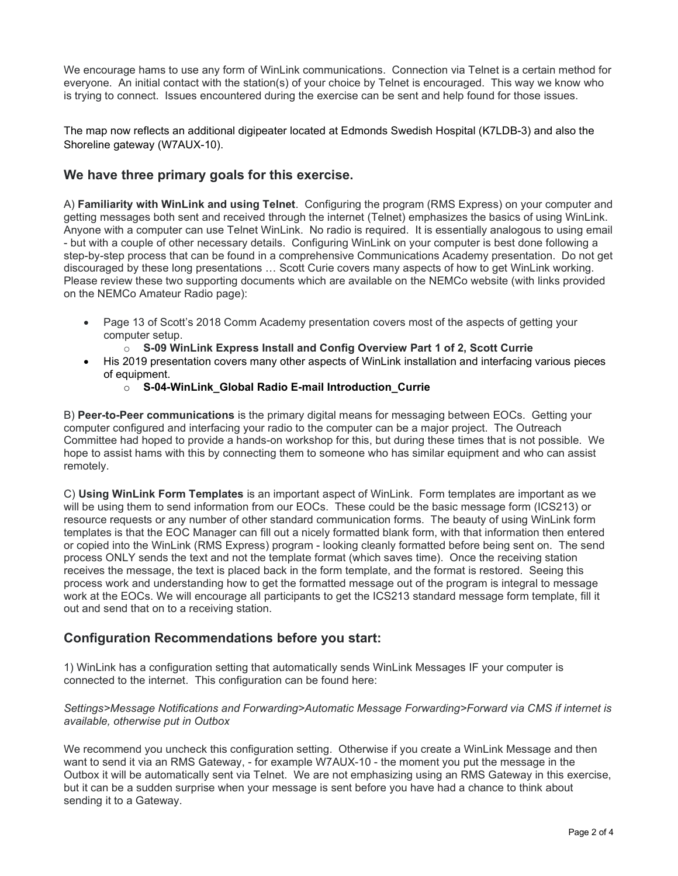We encourage hams to use any form of WinLink communications. Connection via Telnet is a certain method for everyone. An initial contact with the station(s) of your choice by Telnet is encouraged. This way we know who is trying to connect. Issues encountered during the exercise can be sent and help found for those issues.

The map now reflects an additional digipeater located at Edmonds Swedish Hospital (K7LDB-3) and also the Shoreline gateway (W7AUX-10).

# We have three primary goals for this exercise.

A) Familiarity with WinLink and using Telnet. Configuring the program (RMS Express) on your computer and getting messages both sent and received through the internet (Telnet) emphasizes the basics of using WinLink. Anyone with a computer can use Telnet WinLink. No radio is required. It is essentially analogous to using email - but with a couple of other necessary details. Configuring WinLink on your computer is best done following a step-by-step process that can be found in a comprehensive Communications Academy presentation. Do not get discouraged by these long presentations … Scott Curie covers many aspects of how to get WinLink working. Please review these two supporting documents which are available on the NEMCo website (with links provided on the NEMCo Amateur Radio page):

- Page 13 of Scott's 2018 Comm Academy presentation covers most of the aspects of getting your computer setup.
	- $\circ$  S-09 WinLink Express Install and Config Overview Part 1 of 2, Scott Currie
- His 2019 presentation covers many other aspects of WinLink installation and interfacing various pieces of equipment.
	- o S-04-WinLink\_Global Radio E-mail Introduction\_Currie

B) Peer-to-Peer communications is the primary digital means for messaging between EOCs. Getting your computer configured and interfacing your radio to the computer can be a major project. The Outreach Committee had hoped to provide a hands-on workshop for this, but during these times that is not possible. We hope to assist hams with this by connecting them to someone who has similar equipment and who can assist remotely.

C) Using WinLink Form Templates is an important aspect of WinLink. Form templates are important as we will be using them to send information from our EOCs. These could be the basic message form (ICS213) or resource requests or any number of other standard communication forms. The beauty of using WinLink form templates is that the EOC Manager can fill out a nicely formatted blank form, with that information then entered or copied into the WinLink (RMS Express) program - looking cleanly formatted before being sent on. The send process ONLY sends the text and not the template format (which saves time). Once the receiving station receives the message, the text is placed back in the form template, and the format is restored. Seeing this process work and understanding how to get the formatted message out of the program is integral to message work at the EOCs. We will encourage all participants to get the ICS213 standard message form template, fill it out and send that on to a receiving station.

## Configuration Recommendations before you start:

1) WinLink has a configuration setting that automatically sends WinLink Messages IF your computer is connected to the internet. This configuration can be found here:

#### Settings>Message Notifications and Forwarding>Automatic Message Forwarding>Forward via CMS if internet is available, otherwise put in Outbox

We recommend you uncheck this configuration setting. Otherwise if you create a WinLink Message and then want to send it via an RMS Gateway, - for example W7AUX-10 - the moment you put the message in the Outbox it will be automatically sent via Telnet. We are not emphasizing using an RMS Gateway in this exercise, but it can be a sudden surprise when your message is sent before you have had a chance to think about sending it to a Gateway.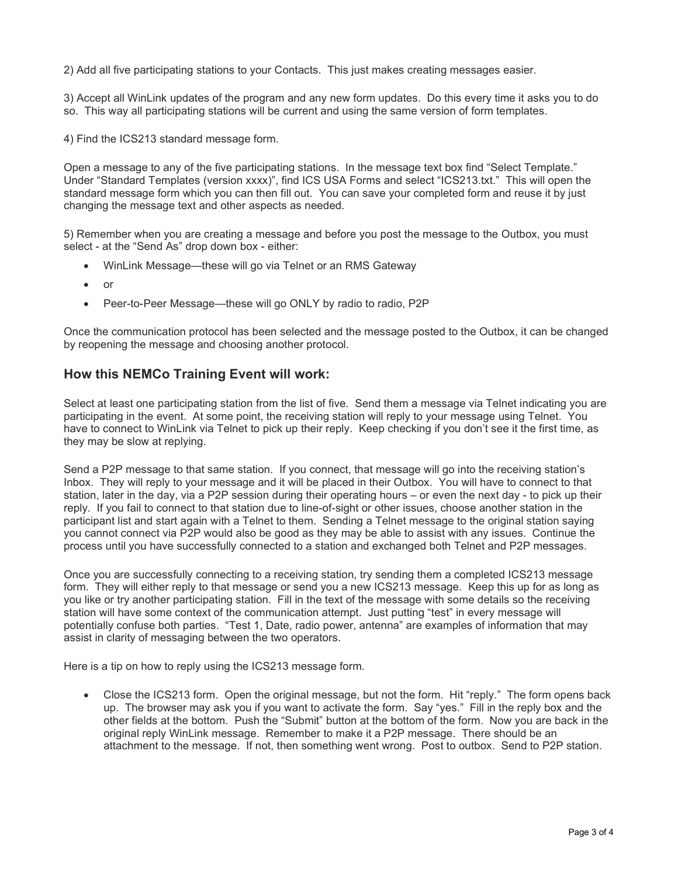2) Add all five participating stations to your Contacts. This just makes creating messages easier.

3) Accept all WinLink updates of the program and any new form updates. Do this every time it asks you to do so. This way all participating stations will be current and using the same version of form templates.

4) Find the ICS213 standard message form.

Open a message to any of the five participating stations. In the message text box find "Select Template." Under "Standard Templates (version xxxx)", find ICS USA Forms and select "ICS213.txt." This will open the standard message form which you can then fill out. You can save your completed form and reuse it by just changing the message text and other aspects as needed.

5) Remember when you are creating a message and before you post the message to the Outbox, you must select - at the "Send As" drop down box - either:

- WinLink Message—these will go via Telnet or an RMS Gateway
- or
- Peer-to-Peer Message—these will go ONLY by radio to radio, P2P

Once the communication protocol has been selected and the message posted to the Outbox, it can be changed by reopening the message and choosing another protocol.

### How this NEMCo Training Event will work:

Select at least one participating station from the list of five. Send them a message via Telnet indicating you are participating in the event. At some point, the receiving station will reply to your message using Telnet. You have to connect to WinLink via Telnet to pick up their reply. Keep checking if you don't see it the first time, as they may be slow at replying.

Send a P2P message to that same station. If you connect, that message will go into the receiving station's Inbox. They will reply to your message and it will be placed in their Outbox. You will have to connect to that station, later in the day, via a P2P session during their operating hours – or even the next day - to pick up their reply. If you fail to connect to that station due to line-of-sight or other issues, choose another station in the participant list and start again with a Telnet to them. Sending a Telnet message to the original station saying you cannot connect via P2P would also be good as they may be able to assist with any issues. Continue the process until you have successfully connected to a station and exchanged both Telnet and P2P messages.

Once you are successfully connecting to a receiving station, try sending them a completed ICS213 message form. They will either reply to that message or send you a new ICS213 message. Keep this up for as long as you like or try another participating station. Fill in the text of the message with some details so the receiving station will have some context of the communication attempt. Just putting "test" in every message will potentially confuse both parties. "Test 1, Date, radio power, antenna" are examples of information that may assist in clarity of messaging between the two operators.

Here is a tip on how to reply using the ICS213 message form.

 Close the ICS213 form. Open the original message, but not the form. Hit "reply." The form opens back up. The browser may ask you if you want to activate the form. Say "yes." Fill in the reply box and the other fields at the bottom. Push the "Submit" button at the bottom of the form. Now you are back in the original reply WinLink message. Remember to make it a P2P message. There should be an attachment to the message. If not, then something went wrong. Post to outbox. Send to P2P station.